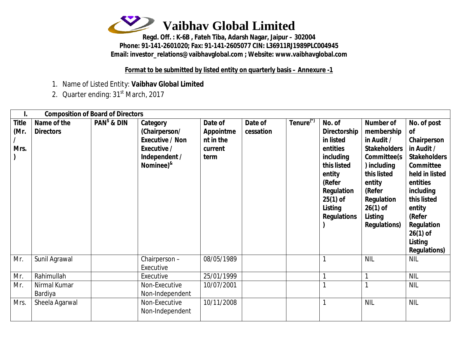

**Regd. Off. : K-6B , Fateh Tiba, Adarsh Nagar, Jaipur – 302004 Phone: 91-141-2601020; Fax: 91-141-2605077 CIN: L36911RJ1989PLC004945 Email: [investor\\_relations@vaibhavglobal.com](mailto:investor_relations@vaibhavglobal.com) ; Website: [www.vaibhavglobal.com](http://www.vaibhavglobal.com)**

**Format to be submitted by listed entity on quarterly basis – Annexure -1**

- 1. Name of Listed Entity: **Vaibhav Global Limited**
- 2. Quarter ending: 31<sup>st</sup> March, 2017

|                              |                                 | <b>Composition of Board of Directors</b> |                                                                                                                  |                                                             |                      |                       |                                                                                                                                                                            |                                                                                                                                                                                                           |                                                                                                                                                                                                                                                     |
|------------------------------|---------------------------------|------------------------------------------|------------------------------------------------------------------------------------------------------------------|-------------------------------------------------------------|----------------------|-----------------------|----------------------------------------------------------------------------------------------------------------------------------------------------------------------------|-----------------------------------------------------------------------------------------------------------------------------------------------------------------------------------------------------------|-----------------------------------------------------------------------------------------------------------------------------------------------------------------------------------------------------------------------------------------------------|
| <b>Title</b><br>(Mr.<br>Mrs. | Name of the<br><b>Directors</b> | $PANs$ & DIN                             | Category<br>(Chairperson/<br><b>Executive / Non</b><br>Executive /<br>Independent /<br>Nominee) <sup>&amp;</sup> | Date of<br><b>Appointme</b><br>nt in the<br>current<br>term | Date of<br>cessation | Tenure <sup>(*)</sup> | No. of<br><b>Directorship</b><br>in listed<br>entities<br>including<br>this listed<br>entity<br>(Refer<br><b>Regulation</b><br>$25(1)$ of<br>Listing<br><b>Regulations</b> | <b>Number of</b><br>membership<br>in Audit /<br><b>Stakeholders</b><br>Committee(s<br>) including<br>this listed<br>entity<br>(Refer<br><b>Regulation</b><br>$26(1)$ of<br>Listing<br><b>Regulations)</b> | No. of post<br><b>of</b><br>Chairperson<br>in Audit /<br><b>Stakeholders</b><br><b>Committee</b><br>held in listed<br>entities<br>including<br>this listed<br>entity<br>(Refer<br><b>Regulation</b><br>$26(1)$ of<br>Listing<br><b>Regulations)</b> |
| Mr.                          | Sunil Agrawal                   |                                          | Chairperson-<br>Executive                                                                                        | 08/05/1989                                                  |                      |                       |                                                                                                                                                                            | <b>NIL</b>                                                                                                                                                                                                | <b>NIL</b>                                                                                                                                                                                                                                          |
| Mr.                          | Rahimullah                      |                                          | Executive                                                                                                        | 25/01/1999                                                  |                      |                       |                                                                                                                                                                            | 1                                                                                                                                                                                                         | <b>NIL</b>                                                                                                                                                                                                                                          |
| Mr.                          | Nirmal Kumar<br>Bardiya         |                                          | Non-Executive<br>Non-Independent                                                                                 | 10/07/2001                                                  |                      |                       |                                                                                                                                                                            |                                                                                                                                                                                                           | <b>NIL</b>                                                                                                                                                                                                                                          |
| Mrs.                         | Sheela Agarwal                  |                                          | Non-Executive<br>Non-Independent                                                                                 | 10/11/2008                                                  |                      |                       |                                                                                                                                                                            | <b>NIL</b>                                                                                                                                                                                                | <b>NIL</b>                                                                                                                                                                                                                                          |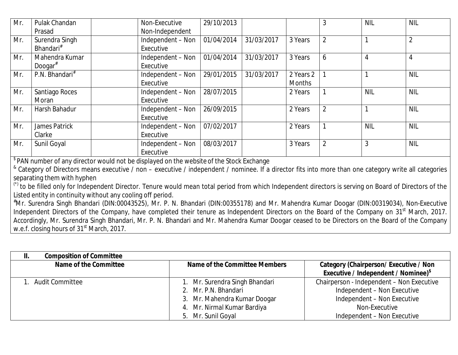| Mr. | Pulak Chandan              | Non-Executive     | 29/10/2013 |            |               | 3              | <b>NIL</b> | <b>NIL</b>     |
|-----|----------------------------|-------------------|------------|------------|---------------|----------------|------------|----------------|
|     | Prasad                     | Non-Independent   |            |            |               |                |            |                |
| Mr. | Surendra Singh             | Independent - Non | 01/04/2014 | 31/03/2017 | 3 Years       | $\overline{2}$ |            | $\overline{2}$ |
|     | Bhandari <sup>#</sup>      | Executive         |            |            |               |                |            |                |
| Mr. | Mahendra Kumar             | Independent - Non | 01/04/2014 | 31/03/2017 | 3 Years       | 6              | 4          | 4              |
|     | Doogar $*$                 | Executive         |            |            |               |                |            |                |
| Mr. | P.N. Bhandari <sup>#</sup> | Independent - Non | 29/01/2015 | 31/03/2017 | 2 Years 2     |                |            | <b>NIL</b>     |
|     |                            | Executive         |            |            | <b>Months</b> |                |            |                |
| Mr. | Santiago Roces             | Independent - Non | 28/07/2015 |            | 2 Years       |                | <b>NIL</b> | <b>NIL</b>     |
|     | Moran                      | Executive         |            |            |               |                |            |                |
| Mr. | Harsh Bahadur              | Independent - Non | 26/09/2015 |            | 2 Years       | $\overline{2}$ |            | <b>NIL</b>     |
|     |                            | Executive         |            |            |               |                |            |                |
| Mr. | James Patrick              | Independent - Non | 07/02/2017 |            | 2 Years       |                | <b>NIL</b> | <b>NIL</b>     |
|     | Clarke                     | Executive         |            |            |               |                |            |                |
| Mr. | Sunil Goyal                | Independent - Non | 08/03/2017 |            | 3 Years       | $\overline{2}$ | 3          | <b>NIL</b>     |
|     |                            | Executive         |            |            |               |                |            |                |

 $^{\$}$ PAN number of any director would not be displayed on the website of the Stock Exchange

& Category of Directors means executive / non – executive / independent / nominee. If a director fits into more than one category write all categories separating them with hyphen

(\*) to be filled only for Independent Director. Tenure would mean total period from which Independent directors is serving on Board of Directors of the Listed entity in continuity without any cooling off period.

#Mr. Surendra Singh Bhandari (DIN:00043525), Mr. P. N. Bhandari (DIN:00355178) and Mr. Mahendra Kumar Doogar (DIN:00319034), Non-Executive Independent Directors of the Company, have completed their tenure as Independent Directors on the Board of the Company on 31<sup>st</sup> March, 2017. Accordingly, Mr. Surendra Singh Bhandari, Mr. P. N. Bhandari and Mr. Mahendra Kumar Doogar ceased to be Directors on the Board of the Company w.e.f. closing hours of 31<sup>st</sup> March, 2017.

| <b>Composition of Committee</b><br>Н. |                                                                                                                                             |                                                                                                                                                         |
|---------------------------------------|---------------------------------------------------------------------------------------------------------------------------------------------|---------------------------------------------------------------------------------------------------------------------------------------------------------|
| Name of the Committee                 | Name of the Committee Members                                                                                                               | <b>Category (Chairperson/Executive / Non</b><br><b>Executive / Independent / Nominee)</b> <sup>\$</sup>                                                 |
| 1. Audit Committee                    | 1. Mr. Surendra Singh Bhandari<br>2. Mr. P.N. Bhandari<br>3. Mr. Mahendra Kumar Doogar<br>4. Mr. Nirmal Kumar Bardiya<br>5. Mr. Sunil Goyal | Chairperson - Independent - Non Executive<br>Independent - Non Executive<br>Independent - Non Executive<br>Non-Executive<br>Independent - Non Executive |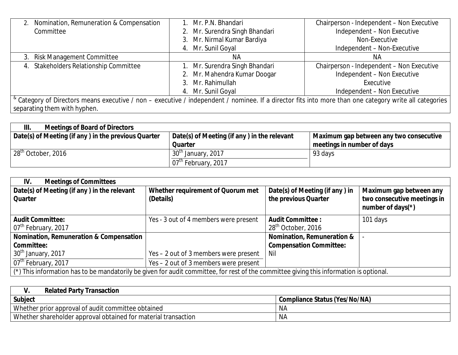| Nomination, Remuneration & Compensation                                                                                                                               | Mr. P.N. Bhandari              | Chairperson - Independent - Non Executive |  |  |
|-----------------------------------------------------------------------------------------------------------------------------------------------------------------------|--------------------------------|-------------------------------------------|--|--|
| Committee                                                                                                                                                             | 2. Mr. Surendra Singh Bhandari | Independent - Non Executive               |  |  |
|                                                                                                                                                                       | 3. Mr. Nirmal Kumar Bardiya    | Non-Executive                             |  |  |
|                                                                                                                                                                       | 4. Mr. Sunil Goyal             | Independent - Non-Executive               |  |  |
| 3. Risk Management Committee                                                                                                                                          | NА                             | ΝA                                        |  |  |
| Stakeholders Relationship Committee<br>4.                                                                                                                             | 1. Mr. Surendra Singh Bhandari | Chairperson - Independent - Non Executive |  |  |
|                                                                                                                                                                       | 2. Mr. Mahendra Kumar Doogar   | Independent - Non Executive               |  |  |
|                                                                                                                                                                       | 3. Mr. Rahimullah              | Executive                                 |  |  |
|                                                                                                                                                                       | 4. Mr. Sunil Goyal             | Independent - Non Executive               |  |  |
| <sup>&amp;</sup> Category of Directors means executive / non - executive / independent / nominee. If a director fits into more than one category write all categories |                                |                                           |  |  |
| separating them with hyphen.                                                                                                                                          |                                |                                           |  |  |

| <b>Meetings of Board of Directors</b><br>III.       |                                             |                                                     |
|-----------------------------------------------------|---------------------------------------------|-----------------------------------------------------|
| Date(s) of Meeting (if any) in the previous Quarter | Date(s) of Meeting (if any) in the relevant | $\parallel$ Maximum gap between any two consecutive |
|                                                     | <b>Quarter</b>                              | meetings in number of days                          |
| 28 <sup>th</sup> October, 2016                      | 30 <sup>th</sup> January, 2017              | 93 days                                             |
|                                                     | 07 <sup>th</sup> February, 2017             |                                                     |

| <b>Meetings of Committees</b><br>IV.                                                                                                           |                                                |                                                           |                                                                                |
|------------------------------------------------------------------------------------------------------------------------------------------------|------------------------------------------------|-----------------------------------------------------------|--------------------------------------------------------------------------------|
| Date(s) of Meeting (if any) in the relevant<br><b>Quarter</b>                                                                                  | Whether requirement of Quorum met<br>(Details) | Date(s) of Meeting (if any) in<br>the previous Quarter    | Maximum gap between any<br>two consecutive meetings in<br>number of days $(*)$ |
| <b>Audit Committee:</b><br>07 <sup>th</sup> February, 2017                                                                                     | Yes - 3 out of 4 members were present          | <b>Audit Committee:</b><br>28 <sup>th</sup> October, 2016 | 101 days                                                                       |
| Nomination, Remuneration & Compensation                                                                                                        |                                                | <b>Nomination, Remuneration &amp;</b>                     |                                                                                |
| Committee:                                                                                                                                     |                                                | <b>Compensation Committee:</b>                            |                                                                                |
| 30 <sup>th</sup> January, 2017                                                                                                                 | Yes – 2 out of 3 members were present          | Nil                                                       |                                                                                |
| 07 <sup>th</sup> February, 2017                                                                                                                | Yes - 2 out of 3 members were present          |                                                           |                                                                                |
| $\mid$ (*) This information has to be mandatorily be given for audit committee, for rest of the committee giving this information is optional. |                                                |                                                           |                                                                                |

| <b>Related Party Transaction</b>                               |                               |  |  |
|----------------------------------------------------------------|-------------------------------|--|--|
| <b>Subject</b>                                                 | Compliance Status (Yes/No/NA) |  |  |
| Whether prior approval of audit committee obtained             | <b>NA</b>                     |  |  |
| Whether shareholder approval obtained for material transaction | <b>NA</b>                     |  |  |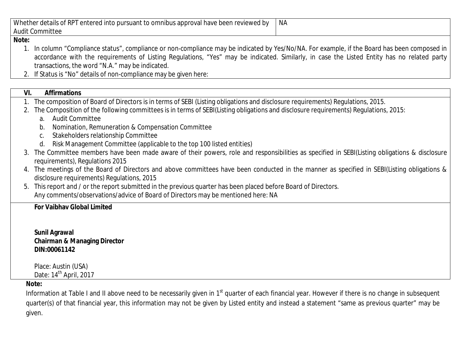| Whether details of RPT entered into pursuant to omnibus approval have been reviewed by | NΑ |
|----------------------------------------------------------------------------------------|----|
| Audit (<br>Committee                                                                   |    |

#### **Note:**

- 1. In column "Compliance status", compliance or non-compliance may be indicated by Yes/No/NA. For example, if the Board has been composed in accordance with the requirements of Listing Regulations, "Yes" may be indicated. Similarly, in case the Listed Entity has no related party transactions, the word "N.A." may be indicated.
- 2. If Status is "No" details of non-compliance may be given here:

## **VI. Affirmations**

- 1. The composition of Board of Directors is in terms of SEBI (Listing obligations and disclosure requirements) Regulations, 2015.
- 2. The Composition of the following committees is in terms of SEBI(Listing obligations and disclosure requirements) Regulations, 2015:

## a. Audit Committee

- b. Nomination, Remuneration & Compensation Committee
- c. Stakeholders relationship Committee
- d. Risk Management Committee (applicable to the top 100 listed entities)
- 3. The Committee members have been made aware of their powers, role and responsibilities as specified in SEBI(Listing obligations & disclosure requirements), Regulations 2015
- 4. The meetings of the Board of Directors and above committees have been conducted in the manner as specified in SEBI(Listing obligations & disclosure requirements) Regulations, 2015
- 5. This report and / or the report submitted in the previous quarter has been placed before Board of Directors. Any comments/observations/advice of Board of Directors may be mentioned here: NA

## **For Vaibhav Global Limited**

**Sunil Agrawal Chairman & Managing Director DIN:00061142**

Place: Austin (USA) Date:  $14<sup>th</sup>$  April, 2017

#### **Note:**

Information at Table I and II above need to be necessarily given in 1<sup>st</sup> quarter of each financial year. However if there is no change in subsequent quarter(s) of that financial year, this information may not be given by Listed entity and instead a statement "same as previous quarter" may be given.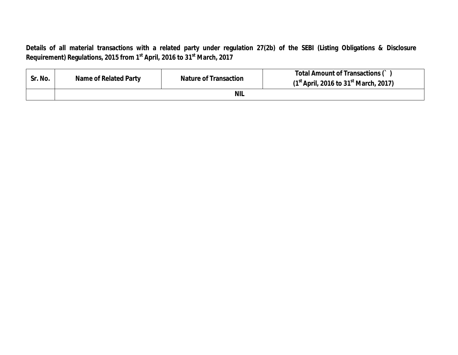**Details of all material transactions with a related party under regulation 27(2b) of the SEBI (Listing Obligations & Disclosure Requirement) Regulations, 2015 from 1st April, 2016 to 31 st March, 2017**

| Sr. No. | Name of Related Party | <b>Nature of Transaction</b> | <b>Total Amount of Transactions ()</b><br>$(1st$ April, 2016 to 31 <sup>st</sup> March, 2017) |
|---------|-----------------------|------------------------------|-----------------------------------------------------------------------------------------------|
|         |                       | <b>NIL</b>                   |                                                                                               |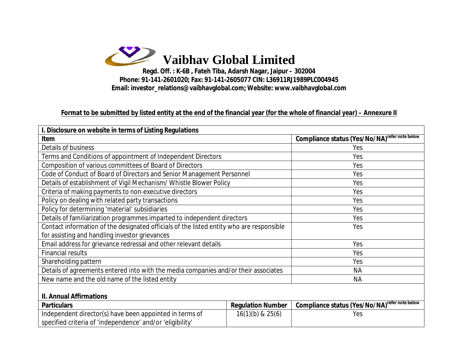

**Phone: 91-141-2601020; Fax: 91-141-2605077 CIN: L36911RJ1989PLC004945 Email: [investor\\_relations@vaibhavglobal.com;](mailto:investor_relations@vaibhavglobal.com;) Website: [www.vaibhavglobal.com](http://www.vaibhavglobal.com)**

## **Format to be submitted by listed entity at the end of the financial year (for the whole of financial year) – Annexure II**

| I. Disclosure on website in terms of Listing Regulations                                 |                                                           |                                                           |  |  |
|------------------------------------------------------------------------------------------|-----------------------------------------------------------|-----------------------------------------------------------|--|--|
| Item                                                                                     | Compliance status (Yes/No/NA) <sup>refer note below</sup> |                                                           |  |  |
| Details of business                                                                      | Yes                                                       |                                                           |  |  |
| Terms and Conditions of appointment of Independent Directors                             | Yes                                                       |                                                           |  |  |
| Composition of various committees of Board of Directors                                  |                                                           | Yes                                                       |  |  |
| Code of Conduct of Board of Directors and Senior Management Personnel                    |                                                           | Yes                                                       |  |  |
| Details of establishment of Vigil Mechanism/ Whistle Blower Policy                       |                                                           | Yes                                                       |  |  |
| Criteria of making payments to non-executive directors                                   |                                                           | Yes                                                       |  |  |
| Policy on dealing with related party transactions                                        |                                                           | Yes                                                       |  |  |
| Policy for determining 'material' subsidiaries                                           |                                                           | Yes                                                       |  |  |
| Details of familiarization programmes imparted to independent directors                  | Yes                                                       |                                                           |  |  |
| Contact information of the designated officials of the listed entity who are responsible | Yes                                                       |                                                           |  |  |
| for assisting and handling investor grievances                                           |                                                           |                                                           |  |  |
| Email address for grievance redressal and other relevant details                         | Yes                                                       |                                                           |  |  |
| <b>Financial results</b>                                                                 |                                                           | Yes                                                       |  |  |
| Shareholding pattern                                                                     | Yes                                                       |                                                           |  |  |
| Details of agreements entered into with the media companies and/or their associates      | <b>NA</b>                                                 |                                                           |  |  |
| New name and the old name of the listed entity                                           | <b>NA</b>                                                 |                                                           |  |  |
| <b>II. Annual Affirmations</b>                                                           |                                                           |                                                           |  |  |
| <b>Particulars</b>                                                                       | <b>Regulation Number</b>                                  | Compliance status (Yes/No/NA) <sup>refer note below</sup> |  |  |
| Independent director(s) have been appointed in terms of                                  | $16(1)(b)$ & $25(6)$                                      | Yes                                                       |  |  |
| specified criteria of 'independence' and/or 'eligibility'                                |                                                           |                                                           |  |  |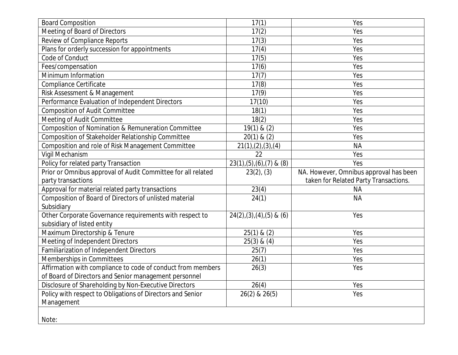| <b>Board Composition</b>                                     | 17(1)                          | Yes                                    |
|--------------------------------------------------------------|--------------------------------|----------------------------------------|
| Meeting of Board of Directors                                | 17(2)                          | Yes                                    |
| <b>Review of Compliance Reports</b>                          | 17(3)                          | Yes                                    |
| Plans for orderly succession for appointments                | 17(4)                          | Yes                                    |
| Code of Conduct                                              | 17(5)                          | Yes                                    |
| Fees/compensation                                            | 17(6)                          | Yes                                    |
| Minimum Information                                          | 17(7)                          | Yes                                    |
| Compliance Certificate                                       | 17(8)                          | Yes                                    |
| Risk Assessment & Management                                 | 17(9)                          | Yes                                    |
| Performance Evaluation of Independent Directors              | 17(10)                         | Yes                                    |
| <b>Composition of Audit Committee</b>                        | 18(1)                          | Yes                                    |
| Meeting of Audit Committee                                   | 18(2)                          | Yes                                    |
| Composition of Nomination & Remuneration Committee           | 19(1) & (2)                    | Yes                                    |
| Composition of Stakeholder Relationship Committee            | $20(1)$ & $(2)$                | Yes                                    |
| Composition and role of Risk Management Committee            | 21(1), (2), (3), (4)           | <b>NA</b>                              |
| Vigil Mechanism                                              | 22                             | Yes                                    |
| Policy for related party Transaction                         | $23(1), (5), (6), (7)$ & $(8)$ | Yes                                    |
| Prior or Omnibus approval of Audit Committee for all related | $23(2)$ , $(3)$                | NA. However, Omnibus approval has been |
| party transactions                                           |                                | taken for Related Party Transactions.  |
| Approval for material related party transactions             | 23(4)                          | <b>NA</b>                              |
| Composition of Board of Directors of unlisted material       | 24(1)                          | <b>NA</b>                              |
| Subsidiary                                                   |                                |                                        |
| Other Corporate Governance requirements with respect to      | $24(2),(3),(4),(5)$ & $(6)$    | Yes                                    |
| subsidiary of listed entity                                  |                                |                                        |
| Maximum Directorship & Tenure                                | $25(1)$ & $(2)$                | Yes                                    |
| Meeting of Independent Directors                             | $25(3)$ & $(4)$                | Yes                                    |
| Familiarization of Independent Directors                     | 25(7)                          | Yes                                    |
| Memberships in Committees                                    | 26(1)                          | Yes                                    |
| Affirmation with compliance to code of conduct from members  | 26(3)                          | Yes                                    |
| of Board of Directors and Senior management personnel        |                                |                                        |
|                                                              |                                |                                        |
| Disclosure of Shareholding by Non-Executive Directors        | 26(4)                          | Yes                                    |
| Policy with respect to Obligations of Directors and Senior   | 26(2) & 26(5)                  | Yes                                    |
| Management                                                   |                                |                                        |
|                                                              |                                |                                        |